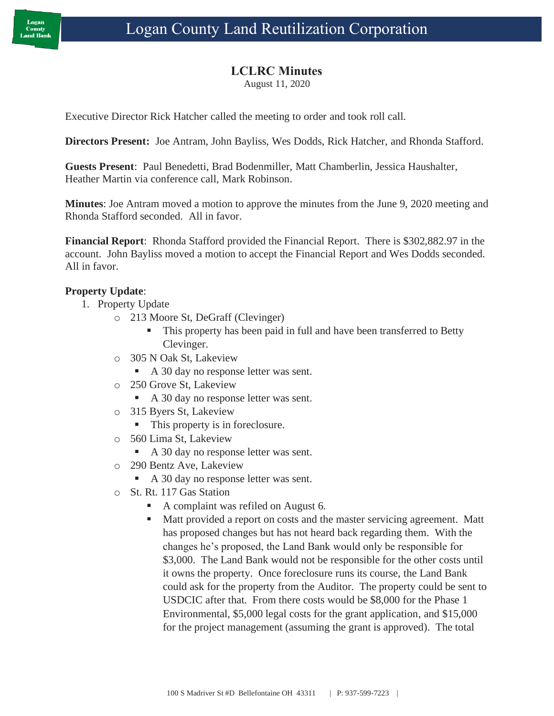## **LCLRC Minutes**

August 11, 2020

Executive Director Rick Hatcher called the meeting to order and took roll call.

**Directors Present:** Joe Antram, John Bayliss, Wes Dodds, Rick Hatcher, and Rhonda Stafford.

**Guests Present**: Paul Benedetti, Brad Bodenmiller, Matt Chamberlin, Jessica Haushalter, Heather Martin via conference call, Mark Robinson.

**Minutes**: Joe Antram moved a motion to approve the minutes from the June 9, 2020 meeting and Rhonda Stafford seconded. All in favor.

**Financial Report**: Rhonda Stafford provided the Financial Report. There is \$302,882.97 in the account. John Bayliss moved a motion to accept the Financial Report and Wes Dodds seconded. All in favor.

### **Property Update**:

- 1. Property Update
	- o 213 Moore St, DeGraff (Clevinger)
		- This property has been paid in full and have been transferred to Betty Clevinger.
	- o 305 N Oak St, Lakeview
		- A 30 day no response letter was sent.
	- o 250 Grove St, Lakeview
		- A 30 day no response letter was sent.
	- o 315 Byers St, Lakeview
		- This property is in foreclosure.
	- o 560 Lima St, Lakeview
		- A 30 day no response letter was sent.
	- o 290 Bentz Ave, Lakeview
		- A 30 day no response letter was sent.
	- o St. Rt. 117 Gas Station
		- A complaint was refiled on August 6.
		- Matt provided a report on costs and the master servicing agreement. Matt has proposed changes but has not heard back regarding them. With the changes he's proposed, the Land Bank would only be responsible for \$3,000. The Land Bank would not be responsible for the other costs until it owns the property. Once foreclosure runs its course, the Land Bank could ask for the property from the Auditor. The property could be sent to USDCIC after that. From there costs would be \$8,000 for the Phase 1 Environmental, \$5,000 legal costs for the grant application, and \$15,000 for the project management (assuming the grant is approved). The total